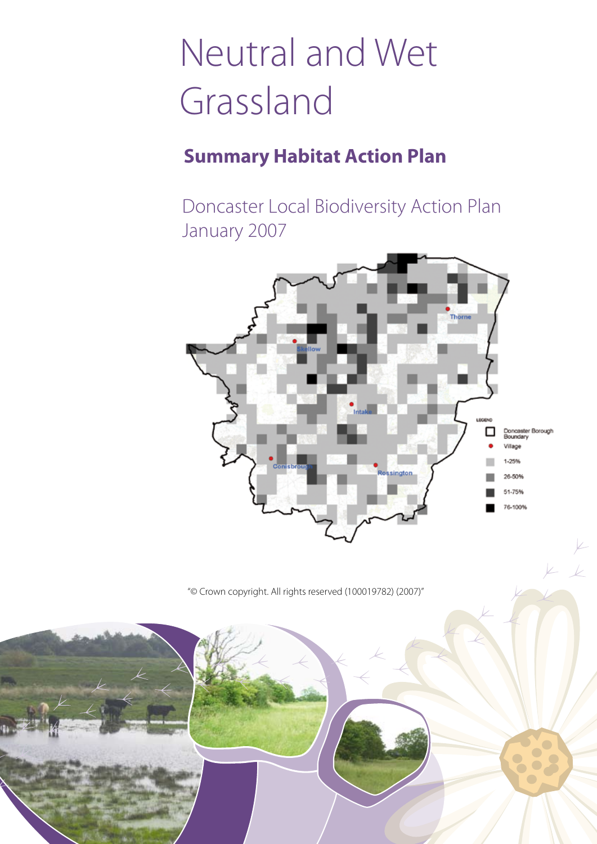# Neutral and Wet Grassland

## **Summary Habitat Action Plan**

Doncaster Local Biodiversity Action Plan January 2007



"© Crown copyright. All rights reserved (100019782) (2007)"

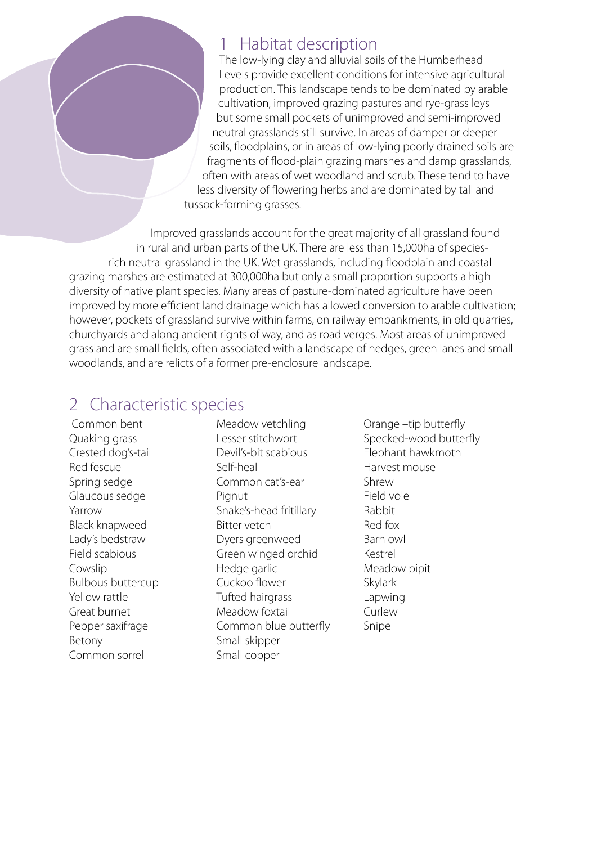#### 1 Habitat description

The low-lying clay and alluvial soils of the Humberhead Levels provide excellent conditions for intensive agricultural production. This landscape tends to be dominated by arable cultivation, improved grazing pastures and rye-grass leys but some small pockets of unimproved and semi-improved neutral grasslands still survive. In areas of damper or deeper soils, floodplains, or in areas of low-lying poorly drained soils are fragments of flood-plain grazing marshes and damp grasslands, often with areas of wet woodland and scrub. These tend to have less diversity of flowering herbs and are dominated by tall and tussock-forming grasses.

Improved grasslands account for the great majority of all grassland found in rural and urban parts of the UK. There are less than 15,000ha of speciesrich neutral grassland in the UK. Wet grasslands, including floodplain and coastal grazing marshes are estimated at 300,000ha but only a small proportion supports a high diversity of native plant species. Many areas of pasture-dominated agriculture have been improved by more efficient land drainage which has allowed conversion to arable cultivation; however, pockets of grassland survive within farms, on railway embankments, in old quarries, churchyards and along ancient rights of way, and as road verges. Most areas of unimproved grassland are small fields, often associated with a landscape of hedges, green lanes and small woodlands, and are relicts of a former pre-enclosure landscape.

## 2 Characteristic species

 Common bent Quaking grass Crested dog's-tail Red fescue Spring sedge Glaucous sedge Yarrow Black knapweed Lady's bedstraw Field scabious Cowslip Bulbous buttercup Yellow rattle Great burnet Pepper saxifrage Betony Common sorrel

Meadow vetchling Lesser stitchwort Devil's-bit scabious Self-heal Common cat's-ear Pignut Snake's-head fritillary Bitter vetch Dyers greenweed Green winged orchid Hedge garlic Cuckoo flower Tufted hairgrass Meadow foxtail Common blue butterfly Small skipper Small copper

Orange –tip butterfly Specked-wood butterfly Elephant hawkmoth Harvest mouse Shrew Field vole Rabbit Red fox Barn owl Kestrel Meadow pipit Skylark Lapwing Curlew Snipe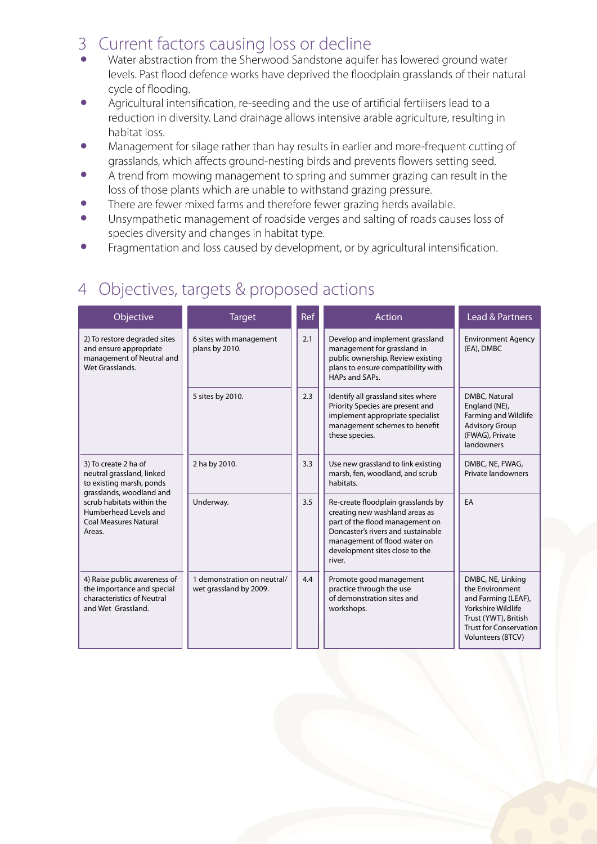#### 3 Current factors causing loss or decline

- Water abstraction from the Sherwood Sandstone aquifer has lowered ground water levels. Past flood defence works have deprived the floodplain grasslands of their natural cycle of flooding.
- Agricultural intensification, re-seeding and the use of artificial fertilisers lead to a reduction in diversity. Land drainage allows intensive arable agriculture, resulting in habitat loss.
- Management for silage rather than hay results in earlier and more-frequent cutting of grasslands, which affects ground-nesting birds and prevents flowers setting seed.
- A trend from mowing management to spring and summer grazing can result in the loss of those plants which are unable to withstand grazing pressure.
- There are fewer mixed farms and therefore fewer grazing herds available.
- Unsympathetic management of roadside verges and salting of roads causes loss of species diversity and changes in habitat type.
- Fragmentation and loss caused by development, or by agricultural intensification.

## 4 Objectives, targets & proposed actions

| Objective                                                                                                                                                                                                 | <b>Target</b>                                         | Ref | <b>Action</b>                                                                                                                                                                                                             | Lead & Partners                                                                                                                                                 |
|-----------------------------------------------------------------------------------------------------------------------------------------------------------------------------------------------------------|-------------------------------------------------------|-----|---------------------------------------------------------------------------------------------------------------------------------------------------------------------------------------------------------------------------|-----------------------------------------------------------------------------------------------------------------------------------------------------------------|
| 2) To restore degraded sites<br>and ensure appropriate<br>management of Neutral and<br>Wet Grasslands.                                                                                                    | 6 sites with management<br>plans by 2010.             | 2.1 | Develop and implement grassland<br>management for grassland in<br>public ownership. Review existing<br>plans to ensure compatibility with<br>HAPs and SAPs.                                                               | <b>Environment Agency</b><br>(EA), DMBC                                                                                                                         |
|                                                                                                                                                                                                           | 5 sites by 2010.                                      | 2.3 | Identify all grassland sites where<br>Priority Species are present and<br>implement appropriate specialist<br>management schemes to benefit<br>these species.                                                             | DMBC, Natural<br>England (NE),<br>Farming and Wildlife<br><b>Advisory Group</b><br>(FWAG), Private<br>landowners                                                |
| 3) To create 2 ha of<br>neutral grassland, linked<br>to existing marsh, ponds<br>grasslands, woodland and<br>scrub habitats within the<br>Humberhead Levels and<br><b>Coal Measures Natural</b><br>Areas. | 2 ha by 2010.                                         | 3.3 | Use new grassland to link existing<br>marsh, fen, woodland, and scrub<br>habitats.                                                                                                                                        | DMBC, NE, FWAG,<br>Private landowners                                                                                                                           |
|                                                                                                                                                                                                           | Underway.                                             | 3.5 | Re-create floodplain grasslands by<br>creating new washland areas as<br>part of the flood management on<br>Doncaster's rivers and sustainable<br>management of flood water on<br>development sites close to the<br>river. | <b>FA</b>                                                                                                                                                       |
| 4) Raise public awareness of<br>the importance and special<br>characteristics of Neutral<br>and Wet Grassland.                                                                                            | 1 demonstration on neutral/<br>wet grassland by 2009. | 4.4 | Promote good management<br>practice through the use<br>of demonstration sites and<br>workshops.                                                                                                                           | DMBC, NE, Linking<br>the Environment<br>and Farming (LEAF),<br>Yorkshire Wildlife<br>Trust (YWT), British<br><b>Trust for Conservation</b><br>Volunteers (BTCV) |